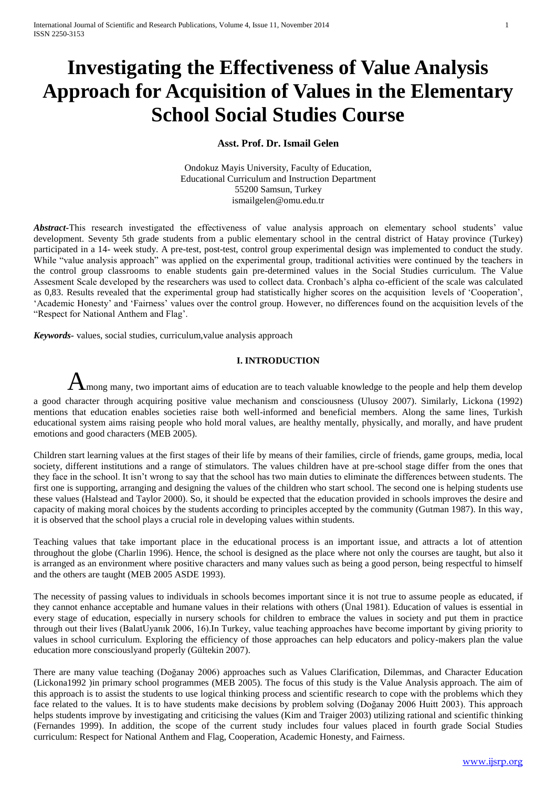# **Investigating the Effectiveness of Value Analysis Approach for Acquisition of Values in the Elementary School Social Studies Course**

# **Asst. Prof. Dr. Ismail Gelen**

Ondokuz Mayis University, Faculty of Education, Educational Curriculum and Instruction Department 55200 Samsun, Turkey ismailgelen@omu.edu.tr

Abstract<sub>r</sub>This research investigated the effectiveness of value analysis approach on elementary school students' value development. Seventy 5th grade students from a public elementary school in the central district of Hatay province (Turkey) participated in a 14- week study. A pre-test, post-test, control group experimental design was implemented to conduct the study. While "value analysis approach" was applied on the experimental group, traditional activities were continued by the teachers in the control group classrooms to enable students gain pre-determined values in the Social Studies curriculum. The Value Assesment Scale developed by the researchers was used to collect data. Cronbach"s alpha co-efficient of the scale was calculated as 0,83. Results revealed that the experimental group had statistically higher scores on the acquisition levels of "Cooperation", "Academic Honesty" and "Fairness" values over the control group. However, no differences found on the acquisition levels of the "Respect for National Anthem and Flag".

*Keywords-* values, social studies, curriculum,value analysis approach

## **I. INTRODUCTION**

 $A$ mong many, two important aims of education are to teach valuable knowledge to the people and help them develop a good character through acquiring positive value mechanism and consciousness (Ulusoy 2007). Similarly, Lickona (1992) mentions that education enables societies raise both well-informed and beneficial members. Along the same lines, Turkish educational system aims raising people who hold moral values, are healthy mentally, physically, and morally, and have prudent emotions and good characters (MEB 2005).

Children start learning values at the first stages of their life by means of their families, circle of friends, game groups, media, local society, different institutions and a range of stimulators. The values children have at pre-school stage differ from the ones that they face in the school. It isn"t wrong to say that the school has two main duties to eliminate the differences between students. The first one is supporting, arranging and designing the values of the children who start school. The second one is helping students use these values (Halstead and Taylor 2000). So, it should be expected that the education provided in schools improves the desire and capacity of making moral choices by the students according to principles accepted by the community (Gutman 1987). In this way, it is observed that the school plays a crucial role in developing values within students.

Teaching values that take important place in the educational process is an important issue, and attracts a lot of attention throughout the globe (Charlin 1996). Hence, the school is designed as the place where not only the courses are taught, but also it is arranged as an environment where positive characters and many values such as being a good person, being respectful to himself and the others are taught (MEB 2005 ASDE 1993).

The necessity of passing values to individuals in schools becomes important since it is not true to assume people as educated, if they cannot enhance acceptable and humane values in their relations with others (Ünal 1981). Education of values is essential in every stage of education, especially in nursery schools for children to embrace the values in society and put them in practice through out their lives (BalatUyanık 2006, 16).In Turkey, value teaching approaches have become important by giving priority to values in school curriculum. Exploring the efficiency of those approaches can help educators and policy-makers plan the value education more consciouslyand properly (Gültekin 2007).

There are many value teaching (Doğanay 2006) approaches such as Values Clarification, Dilemmas, and Character Education (Lickona1992 )in primary school programmes (MEB 2005). The focus of this study is the Value Analysis approach. The aim of this approach is to assist the students to use logical thinking process and scientific research to cope with the problems which they face related to the values. It is to have students make decisions by problem solving (Doğanay 2006 Huitt 2003). This approach helps students improve by investigating and criticising the values (Kim and Traiger 2003) utilizing rational and scientific thinking (Fernandes 1999). In addition, the scope of the current study includes four values placed in fourth grade Social Studies curriculum: Respect for National Anthem and Flag, Cooperation, Academic Honesty, and Fairness.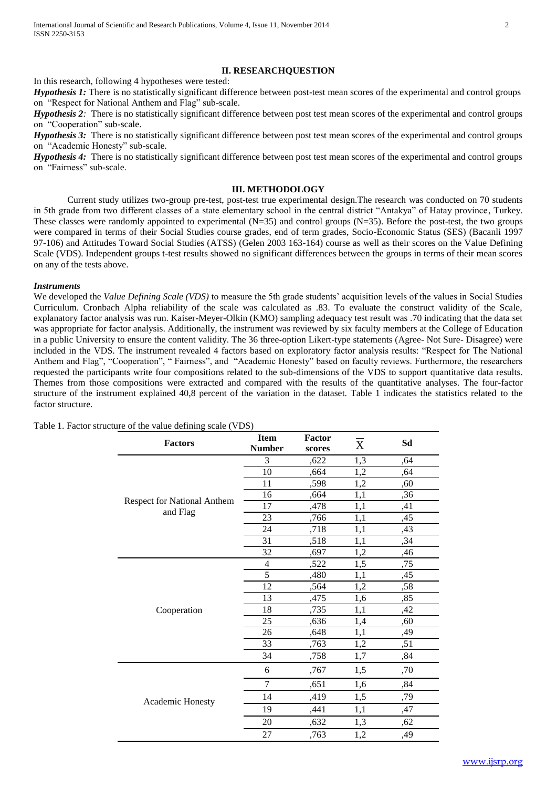## **II. RESEARCHQUESTION**

In this research, following 4 hypotheses were tested:

*Hypothesis 1*: There is no statistically significant difference between post-test mean scores of the experimental and control groups on "Respect for National Anthem and Flag" sub-scale.

*Hypothesis 2*: There is no statistically significant difference between post test mean scores of the experimental and control groups on "Cooperation" sub-scale.

*Hypothesis 3:* There is no statistically significant difference between post test mean scores of the experimental and control groups on "Academic Honesty" sub-scale.

*Hypothesis 4:* There is no statistically significant difference between post test mean scores of the experimental and control groups on "Fairness" sub-scale.

## **III. METHODOLOGY**

Current study utilizes two-group pre-test, post-test true experimental design.The research was conducted on 70 students in 5th grade from two different classes of a state elementary school in the central district "Antakya" of Hatay province, Turkey. These classes were randomly appointed to experimental  $(N=35)$  and control groups  $(N=35)$ . Before the post-test, the two groups were compared in terms of their Social Studies course grades, end of term grades, Socio-Economic Status (SES) (Bacanli 1997 97-106) and Attitudes Toward Social Studies (ATSS) (Gelen 2003 163-164) course as well as their scores on the Value Defining Scale (VDS). Independent groups t-test results showed no significant differences between the groups in terms of their mean scores on any of the tests above.

#### *Instruments*

We developed the *Value Defining Scale (VDS)* to measure the 5th grade students' acquisition levels of the values in Social Studies Curriculum. Cronbach Alpha reliability of the scale was calculated as .83. To evaluate the construct validity of the Scale, explanatory factor analysis was run. Kaiser-Meyer-Olkin (KMO) sampling adequacy test result was .70 indicating that the data set was appropriate for factor analysis. Additionally, the instrument was reviewed by six faculty members at the College of Education in a public University to ensure the content validity. The 36 three-option Likert-type statements (Agree- Not Sure- Disagree) were included in the VDS. The instrument revealed 4 factors based on exploratory factor analysis results: "Respect for The National Anthem and Flag", "Cooperation", " Fairness", and "Academic Honesty" based on faculty reviews. Furthermore, the researchers requested the participants write four compositions related to the sub-dimensions of the VDS to support quantitative data results. Themes from those compositions were extracted and compared with the results of the quantitative analyses. The four-factor structure of the instrument explained 40,8 percent of the variation in the dataset. Table 1 indicates the statistics related to the factor structure.

| <b>Factors</b>                                 | <b>Item</b><br><b>Number</b> | Factor<br>scores | X   | Sd  |
|------------------------------------------------|------------------------------|------------------|-----|-----|
| <b>Respect for National Anthem</b><br>and Flag | 3                            | ,622             | 1,3 | ,64 |
|                                                | 10                           | ,664             | 1,2 | ,64 |
|                                                | 11                           | ,598             | 1,2 | ,60 |
|                                                | 16                           | ,664             | 1,1 | ,36 |
|                                                | 17                           | ,478             | 1,1 | ,41 |
|                                                | 23                           | ,766             | 1,1 | ,45 |
|                                                | 24                           | ,718             | 1,1 | ,43 |
|                                                | 31                           | ,518             | 1,1 | ,34 |
|                                                | 32                           | ,697             | 1,2 | ,46 |
|                                                | 4                            | ,522             | 1,5 | ,75 |
|                                                | $\overline{5}$               | ,480             | 1,1 | ,45 |
|                                                | 12                           | ,564             | 1,2 | ,58 |
|                                                | 13                           | ,475             | 1,6 | ,85 |
| Cooperation                                    | 18                           | ,735             | 1,1 | ,42 |
|                                                | 25                           | ,636             | 1,4 | ,60 |
|                                                | 26                           | ,648             | 1,1 | ,49 |
|                                                | 33                           | ,763             | 1,2 | ,51 |
|                                                | 34                           | ,758             | 1,7 | ,84 |
| Academic Honesty                               | 6                            | ,767             | 1,5 | ,70 |
|                                                | $\tau$                       | ,651             | 1,6 | ,84 |
|                                                | 14                           | ,419             | 1,5 | ,79 |
|                                                | 19                           | ,441             | 1,1 | ,47 |
|                                                | 20                           | ,632             | 1,3 | ,62 |
|                                                | 27                           | ,763             | 1,2 | ,49 |

Table 1. Factor structure of the value defining scale (VDS)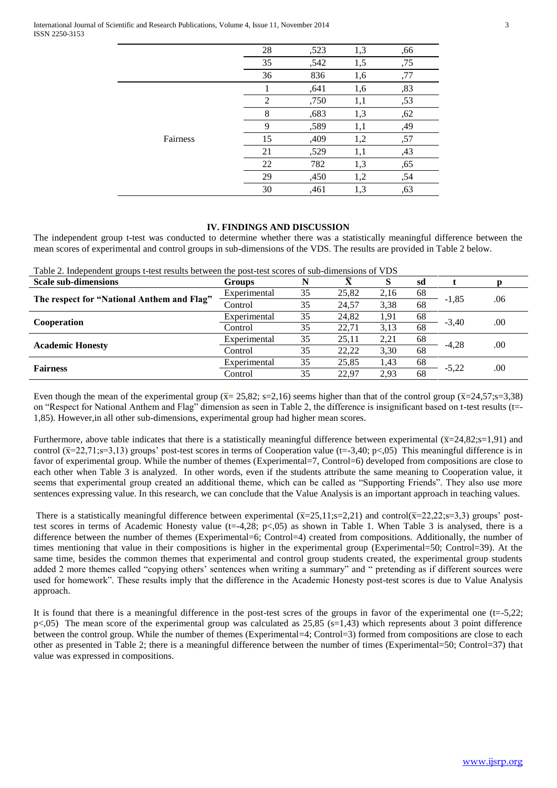|          | 28             | ,523 | 1,3 | ,66 |  |
|----------|----------------|------|-----|-----|--|
|          | 35             | ,542 | 1,5 | ,75 |  |
|          | 36             | 836  | 1,6 | ,77 |  |
|          |                | ,641 | 1,6 | ,83 |  |
| Fairness | $\overline{2}$ | ,750 | 1,1 | ,53 |  |
|          | 8              | ,683 | 1,3 | ,62 |  |
|          | 9              | ,589 | 1,1 | ,49 |  |
|          | 15             | ,409 | 1,2 | ,57 |  |
|          | 21             | ,529 | 1,1 | ,43 |  |
|          | 22             | 782  | 1,3 | ,65 |  |
|          | 29             | ,450 | 1,2 | ,54 |  |
|          | 30             | ,461 | 1,3 | ,63 |  |

## **IV. FINDINGS AND DISCUSSION**

The independent group t-test was conducted to determine whether there was a statistically meaningful difference between the mean scores of experimental and control groups in sub-dimensions of the VDS. The results are provided in Table 2 below.

| 5 - - -<br><b>Scale sub-dimensions</b>     | <b>Groups</b> |    |       |      | sd |         |     |
|--------------------------------------------|---------------|----|-------|------|----|---------|-----|
| The respect for "National Anthem and Flag" | Experimental  | 35 | 25,82 | 2,16 | 68 | $-1,85$ | .06 |
|                                            | Control       | 35 | 24,57 | 3,38 | 68 |         |     |
| Cooperation                                | Experimental  | 35 | 24,82 | 1,91 | 68 | $-3.40$ | .00 |
|                                            | Control       | 35 | 22,71 | 3,13 | 68 |         |     |
| <b>Academic Honesty</b>                    | Experimental  | 35 | 25,11 | 2,21 | 68 | $-4,28$ | .00 |
|                                            | Control       | 35 | 22,22 | 3,30 | 68 |         |     |
| <b>Fairness</b>                            | Experimental  | 35 | 25,85 | 1,43 | 68 | $-5,22$ | .00 |
|                                            | Control       | 35 | 22.97 | 2,93 | 68 |         |     |

Table 2. Independent groups t-test results between the post-test scores of sub-dimensions of VDS

Even though the mean of the experimental group ( $\overline{x}$ = 25,82; s=2,16) seems higher than that of the control group ( $\overline{x}$ =24,57;s=3,38) on "Respect for National Anthem and Flag" dimension as seen in Table 2, the difference is insignificant based on t-test results (t=- 1,85). However,in all other sub-dimensions, experimental group had higher mean scores.

Furthermore, above table indicates that there is a statistically meaningful difference between experimental  $(\overline{x}=24,82;\overline{s}=1,91)$  and control  $(\overline{x}$ =22,71;s=3,13) groups' post-test scores in terms of Cooperation value (t=-3,40; p<,05) This meaningful difference is in favor of experimental group. While the number of themes (Experimental=7, Control=6) developed from compositions are close to each other when Table 3 is analyzed. In other words, even if the students attribute the same meaning to Cooperation value, it seems that experimental group created an additional theme, which can be called as "Supporting Friends". They also use more sentences expressing value. In this research, we can conclude that the Value Analysis is an important approach in teaching values.

There is a statistically meaningful difference between experimental  $(\overline{x}=25,11; s=2,21)$  and control( $\overline{x}=22,22; s=3,3$ ) groups' posttest scores in terms of Academic Honesty value ( $t=4,28$ ;  $p<0.05$ ) as shown in Table 1. When Table 3 is analysed, there is a difference between the number of themes (Experimental=6; Control=4) created from compositions. Additionally, the number of times mentioning that value in their compositions is higher in the experimental group (Experimental=50; Control=39). At the same time, besides the common themes that experimental and control group students created, the experimental group students added 2 more themes called "copying others' sentences when writing a summary" and " pretending as if different sources were used for homework". These results imply that the difference in the Academic Honesty post-test scores is due to Value Analysis approach.

It is found that there is a meaningful difference in the post-test scres of the groups in favor of the experimental one (t=-5,22;  $p$ <,05) The mean score of the experimental group was calculated as 25,85 (s=1,43) which represents about 3 point difference between the control group. While the number of themes (Experimental=4; Control=3) formed from compositions are close to each other as presented in Table 2; there is a meaningful difference between the number of times (Experimental=50; Control=37) that value was expressed in compositions.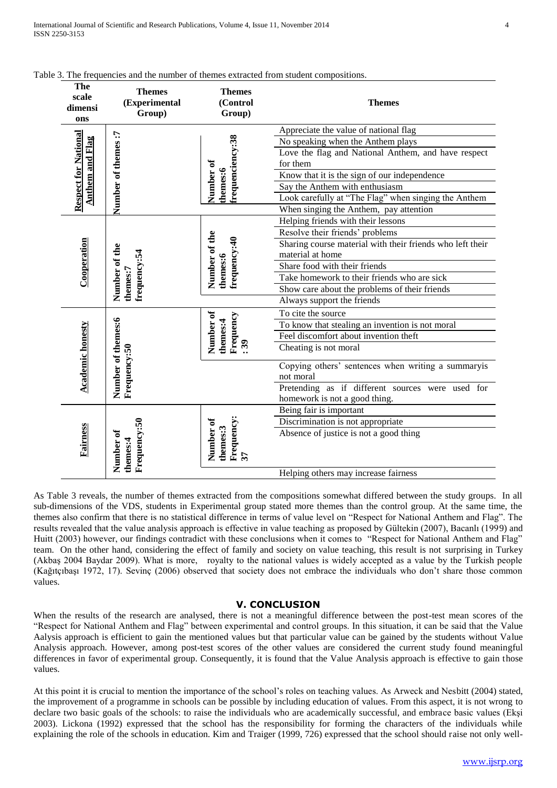| The<br>scale<br>dimensi<br>ons                           | <b>Themes</b><br>(Experimental<br>Group) | <b>Themes</b><br>(Control<br>Group)       | <b>Themes</b>                                                   |  |  |
|----------------------------------------------------------|------------------------------------------|-------------------------------------------|-----------------------------------------------------------------|--|--|
|                                                          |                                          |                                           | Appreciate the value of national flag                           |  |  |
|                                                          |                                          |                                           | No speaking when the Anthem plays                               |  |  |
|                                                          |                                          | frequenciency:38                          | Love the flag and National Anthem, and have respect<br>for them |  |  |
|                                                          |                                          | Number of<br>themes:6                     | Know that it is the sign of our independence                    |  |  |
| <b>Respect for National</b><br><u>Anthem and Flag</u>    | Number of themes:7                       |                                           | Say the Anthem with enthusiasm                                  |  |  |
|                                                          |                                          |                                           | Look carefully at "The Flag" when singing the Anthem            |  |  |
|                                                          |                                          |                                           | When singing the Anthem, pay attention                          |  |  |
| Cooperation<br>Number of the<br>frequency:54<br>themes:7 |                                          |                                           | Helping friends with their lessons                              |  |  |
|                                                          |                                          |                                           | Resolve their friends' problems                                 |  |  |
|                                                          |                                          |                                           | Sharing course material with their friends who left their       |  |  |
|                                                          |                                          |                                           | material at home                                                |  |  |
|                                                          |                                          | Number of the<br>frequency:40<br>themes:6 | Share food with their friends                                   |  |  |
|                                                          |                                          |                                           | Take homework to their friends who are sick                     |  |  |
|                                                          |                                          |                                           | Show care about the problems of their friends                   |  |  |
|                                                          |                                          |                                           | Always support the friends                                      |  |  |
|                                                          |                                          |                                           | To cite the source                                              |  |  |
|                                                          | Number of themes:6<br>Frequency:50       |                                           | To know that stealing an invention is not moral                 |  |  |
|                                                          |                                          | Number of<br>Frequency<br>themes:4        | Feel discomfort about invention theft                           |  |  |
|                                                          |                                          | $\ddot{3}$                                | Cheating is not moral                                           |  |  |
| <b>Academic honesty</b>                                  |                                          |                                           | Copying others' sentences when writing a summaryis<br>not moral |  |  |
|                                                          |                                          |                                           | Pretending as if different sources were used for                |  |  |
|                                                          |                                          |                                           | homework is not a good thing.                                   |  |  |
| Frequency:50<br>Fairness                                 |                                          |                                           | Being fair is important                                         |  |  |
|                                                          |                                          | Discrimination is not appropriate         |                                                                 |  |  |
|                                                          | Number of<br>themes:4                    |                                           | Absence of justice is not a good thing                          |  |  |
|                                                          |                                          | Frequency:<br>Number of<br>themes:3       |                                                                 |  |  |
|                                                          |                                          | $\overline{\mathcal{E}}$                  |                                                                 |  |  |
|                                                          |                                          |                                           | Helping others may increase fairness                            |  |  |

## Table 3. The frequencies and the number of themes extracted from student compositions.

As Table 3 reveals, the number of themes extracted from the compositions somewhat differed between the study groups. In all sub-dimensions of the VDS, students in Experimental group stated more themes than the control group. At the same time, the themes also confirm that there is no statistical difference in terms of value level on "Respect for National Anthem and Flag". The results revealed that the value analysis approach is effective in value teaching as proposed by Gültekin (2007), Bacanlı (1999) and Huitt (2003) however, our findings contradict with these conclusions when it comes to "Respect for National Anthem and Flag" team. On the other hand, considering the effect of family and society on value teaching, this result is not surprising in Turkey (Akbaş 2004 Baydar 2009). What is more, royalty to the national values is widely accepted as a value by the Turkish people (Kağıtçıbaşı 1972, 17). Sevinç (2006) observed that society does not embrace the individuals who don"t share those common values.

## **V. CONCLUSION**

When the results of the research are analysed, there is not a meaningful difference between the post-test mean scores of the "Respect for National Anthem and Flag" between experimental and control groups. In this situation, it can be said that the Value Aalysis approach is efficient to gain the mentioned values but that particular value can be gained by the students without Value Analysis approach. However, among post-test scores of the other values are considered the current study found meaningful differences in favor of experimental group. Consequently, it is found that the Value Analysis approach is effective to gain those values.

At this point it is crucial to mention the importance of the school"s roles on teaching values. As Arweck and Nesbitt (2004) stated, the improvement of a programme in schools can be possible by including education of values. From this aspect, it is not wrong to declare two basic goals of the schools: to raise the individuals who are academically successful, and embrace basic values (Ekşi 2003). Lickona (1992) expressed that the school has the responsibility for forming the characters of the individuals while explaining the role of the schools in education. Kim and Traiger (1999, 726) expressed that the school should raise not only well